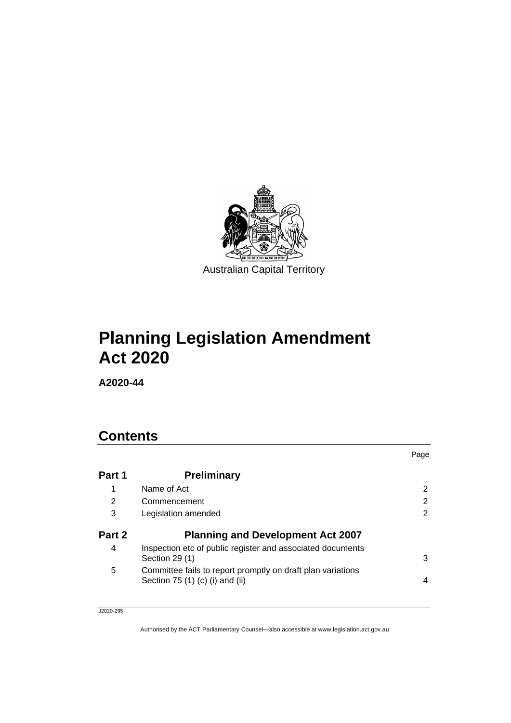

# **Planning Legislation Amendment Act 2020**

**A2020-44**

# **Contents**

|        |                                                                                                 | Page |
|--------|-------------------------------------------------------------------------------------------------|------|
| Part 1 | <b>Preliminary</b>                                                                              |      |
| 1      | Name of Act                                                                                     | 2    |
| 2      | Commencement                                                                                    | 2    |
| 3      | Legislation amended                                                                             | 2    |
| Part 2 | <b>Planning and Development Act 2007</b>                                                        |      |
| 4      | Inspection etc of public register and associated documents<br>Section 29 (1)                    | 3    |
| 5      | Committee fails to report promptly on draft plan variations<br>Section $75(1)(c)(i)$ and $(ii)$ | 4    |
|        |                                                                                                 |      |

J2020-295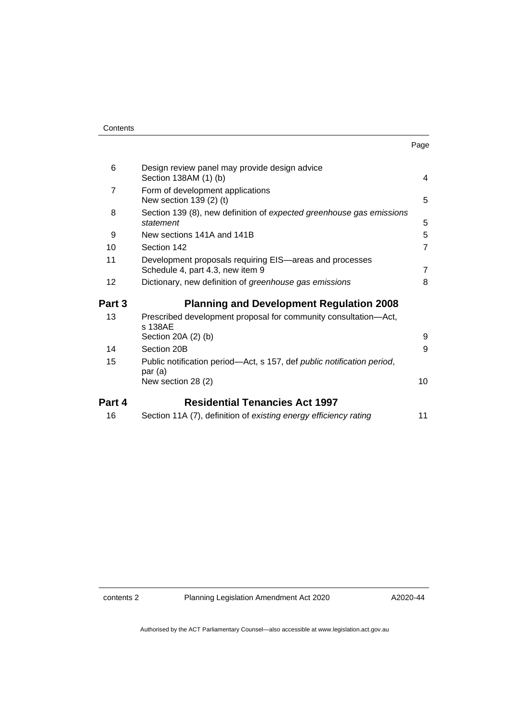| Contents |
|----------|
|----------|

| 6              | Design review panel may provide design advice<br>Section 138AM (1) (b)                            | 4              |
|----------------|---------------------------------------------------------------------------------------------------|----------------|
| $\overline{7}$ | Form of development applications<br>New section 139 (2) (t)                                       | 5              |
| 8              | Section 139 (8), new definition of expected greenhouse gas emissions<br>statement                 | 5              |
| 9              | New sections 141A and 141B                                                                        | 5              |
| 10             | Section 142                                                                                       | $\overline{7}$ |
| 11             | Development proposals requiring EIS—areas and processes<br>Schedule 4, part 4.3, new item 9       | $\overline{7}$ |
| 12             | Dictionary, new definition of greenhouse gas emissions                                            | 8              |
| Part 3         | <b>Planning and Development Regulation 2008</b>                                                   |                |
| 13             | Prescribed development proposal for community consultation-Act,<br>s 138AE<br>Section 20A (2) (b) | 9              |
| 14             | Section 20B                                                                                       | 9              |
| 15             | Public notification period—Act, s 157, def <i>public notification period</i> ,<br>par (a)         |                |
|                | New section 28 (2)                                                                                | 10             |
| Part 4         | <b>Residential Tenancies Act 1997</b>                                                             |                |

| 16 |  | Section 11A (7), definition of existing energy efficiency rating |  |
|----|--|------------------------------------------------------------------|--|
|----|--|------------------------------------------------------------------|--|

contents 2 Planning Legislation Amendment Act 2020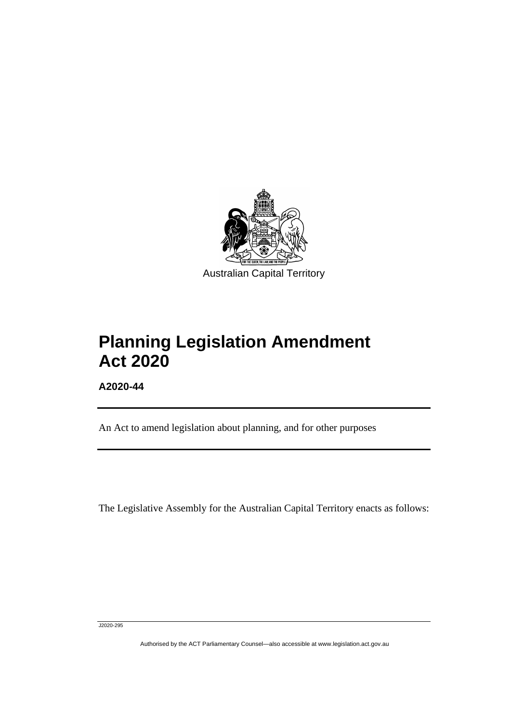

# **Planning Legislation Amendment Act 2020**

**A2020-44**

ֺֺׅ֚֡֡֬

An Act to amend legislation about planning, and for other purposes

The Legislative Assembly for the Australian Capital Territory enacts as follows:

J2020-295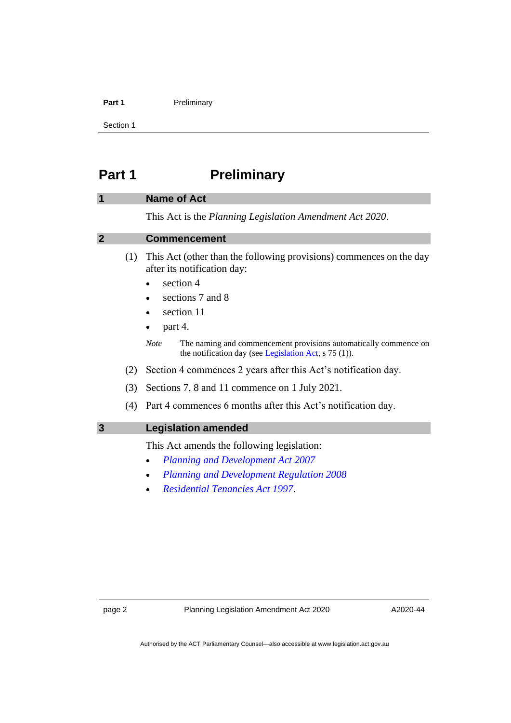#### **Part 1** Preliminary

Section 1

## <span id="page-3-0"></span>**Part 1 Preliminary**

#### <span id="page-3-1"></span>**1 Name of Act**

This Act is the *Planning Legislation Amendment Act 2020*.

#### <span id="page-3-2"></span>**2 Commencement**

- (1) This Act (other than the following provisions) commences on the day after its notification day:
	- section 4
	- sections 7 and 8
	- section 11
	- $\bullet$  part 4.
	- *Note* The naming and commencement provisions automatically commence on the notification day (see [Legislation Act,](http://www.legislation.act.gov.au/a/2001-14) s 75 (1)).
- (2) Section 4 commences 2 years after this Act's notification day.
- (3) Sections 7, 8 and 11 commence on 1 July 2021.
- (4) Part 4 commences 6 months after this Act's notification day.
- <span id="page-3-3"></span>**3 Legislation amended**

This Act amends the following legislation:

- *[Planning and Development Act 2007](http://www.legislation.act.gov.au/a/2007-24)*
- *[Planning and Development Regulation 2008](http://www.legislation.act.gov.au/sl/2008-2)*
- *[Residential Tenancies Act 1997](http://www.legislation.act.gov.au/a/1997-84)*.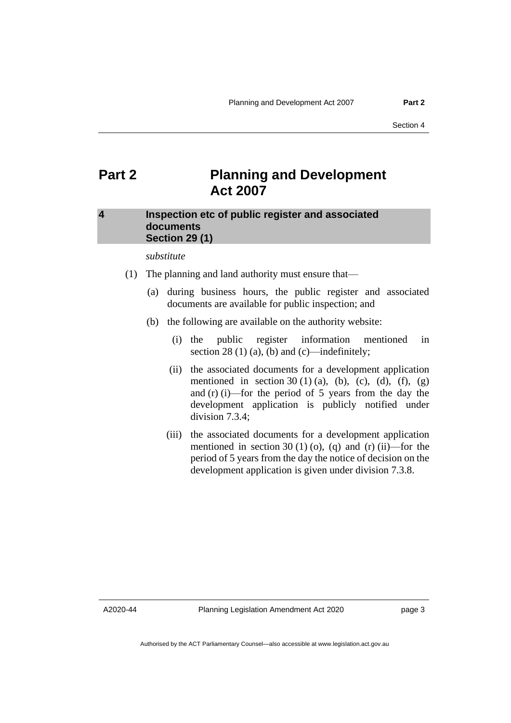## <span id="page-4-0"></span>**Part 2 Planning and Development Act 2007**

#### <span id="page-4-1"></span>**4 Inspection etc of public register and associated documents Section 29 (1)**

*substitute*

- (1) The planning and land authority must ensure that—
	- (a) during business hours, the public register and associated documents are available for public inspection; and
	- (b) the following are available on the authority website:
		- (i) the public register information mentioned in section 28 (1) (a), (b) and (c)—indefinitely;
		- (ii) the associated documents for a development application mentioned in section 30 (1) (a), (b), (c), (d), (f), (g) and (r) (i)—for the period of 5 years from the day the development application is publicly notified under division 7.3.4;
		- (iii) the associated documents for a development application mentioned in section 30 (1) (o), (q) and (r) (ii)—for the period of 5 years from the day the notice of decision on the development application is given under division 7.3.8.

A2020-44

page 3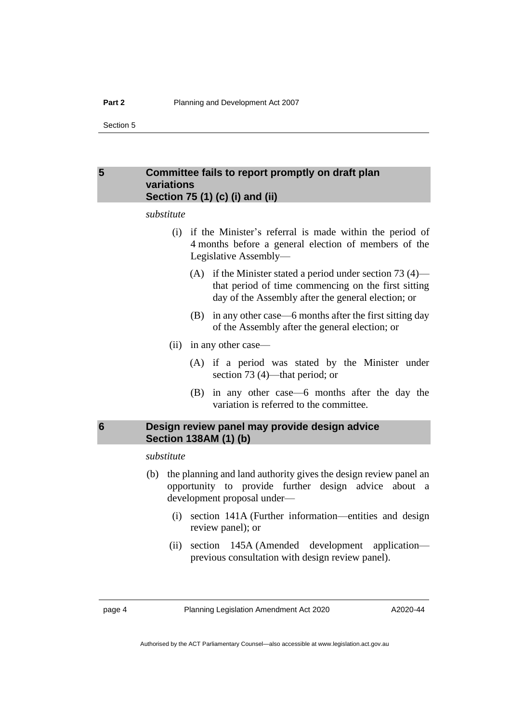#### <span id="page-5-0"></span>**5 Committee fails to report promptly on draft plan variations Section 75 (1) (c) (i) and (ii)**

*substitute*

- (i) if the Minister's referral is made within the period of 4 months before a general election of members of the Legislative Assembly—
	- (A) if the Minister stated a period under section 73  $(4)$  that period of time commencing on the first sitting day of the Assembly after the general election; or
	- (B) in any other case—6 months after the first sitting day of the Assembly after the general election; or
- (ii) in any other case—
	- (A) if a period was stated by the Minister under section 73 (4)—that period; or
	- (B) in any other case—6 months after the day the variation is referred to the committee.

#### <span id="page-5-1"></span>**6 Design review panel may provide design advice Section 138AM (1) (b)**

*substitute*

- (b) the planning and land authority gives the design review panel an opportunity to provide further design advice about a development proposal under—
	- (i) section 141A (Further information—entities and design review panel); or
	- (ii) section 145A (Amended development application previous consultation with design review panel).

page 4 Planning Legislation Amendment Act 2020

A2020-44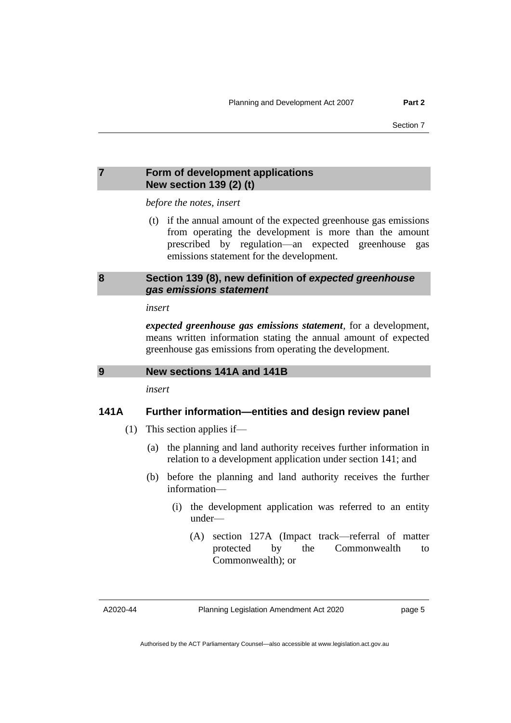#### <span id="page-6-0"></span>**7 Form of development applications New section 139 (2) (t)**

*before the notes, insert*

(t) if the annual amount of the expected greenhouse gas emissions from operating the development is more than the amount prescribed by regulation—an expected greenhouse gas emissions statement for the development.

#### <span id="page-6-1"></span>**8 Section 139 (8), new definition of** *expected greenhouse gas emissions statement*

#### *insert*

*expected greenhouse gas emissions statement*, for a development, means written information stating the annual amount of expected greenhouse gas emissions from operating the development.

```
9 New sections 141A and 141B
```
*insert*

#### **141A Further information—entities and design review panel**

- (1) This section applies if—
	- (a) the planning and land authority receives further information in relation to a development application under section 141; and
	- (b) before the planning and land authority receives the further information—
		- (i) the development application was referred to an entity under—
			- (A) section 127A (Impact track—referral of matter protected by the Commonwealth to Commonwealth); or

A2020-44

Planning Legislation Amendment Act 2020

page 5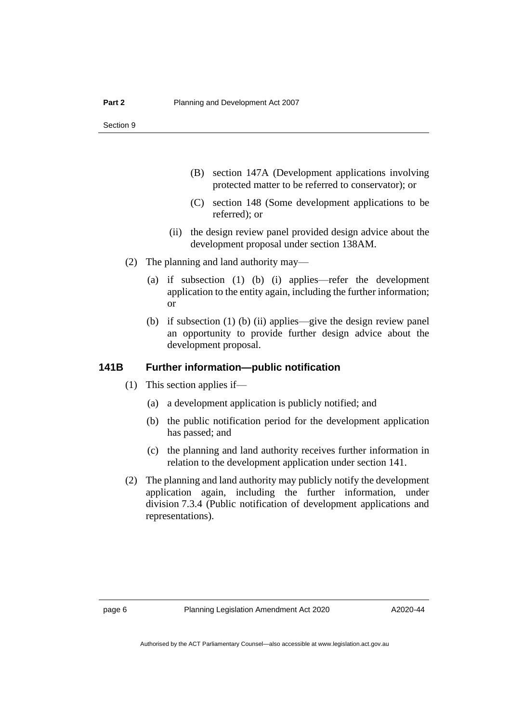- (B) section 147A (Development applications involving protected matter to be referred to conservator); or
- (C) section 148 (Some development applications to be referred); or
- (ii) the design review panel provided design advice about the development proposal under section 138AM.
- (2) The planning and land authority may—
	- (a) if subsection (1) (b) (i) applies—refer the development application to the entity again, including the further information; or
	- (b) if subsection (1) (b) (ii) applies—give the design review panel an opportunity to provide further design advice about the development proposal.

#### **141B Further information—public notification**

- (1) This section applies if—
	- (a) a development application is publicly notified; and
	- (b) the public notification period for the development application has passed; and
	- (c) the planning and land authority receives further information in relation to the development application under section 141.
- (2) The planning and land authority may publicly notify the development application again, including the further information, under division 7.3.4 (Public notification of development applications and representations).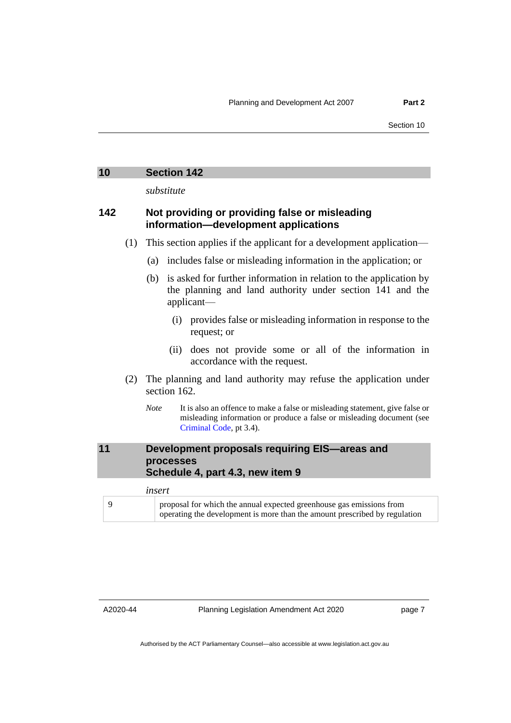*substitute*

#### <span id="page-8-0"></span>**142 Not providing or providing false or misleading information—development applications**

- (1) This section applies if the applicant for a development application—
	- (a) includes false or misleading information in the application; or
	- (b) is asked for further information in relation to the application by the planning and land authority under section 141 and the applicant—
		- (i) provides false or misleading information in response to the request; or
		- (ii) does not provide some or all of the information in accordance with the request.
- (2) The planning and land authority may refuse the application under section 162.
	- *Note* It is also an offence to make a false or misleading statement, give false or misleading information or produce a false or misleading document (see [Criminal Code,](http://www.legislation.act.gov.au/a/2002-51) pt 3.4).

#### <span id="page-8-1"></span>**11 Development proposals requiring EIS—areas and processes Schedule 4, part 4.3, new item 9**

| insert |  |                                                                                                                                                    |
|--------|--|----------------------------------------------------------------------------------------------------------------------------------------------------|
|        |  | proposal for which the annual expected greenhouse gas emissions from<br>operating the development is more than the amount prescribed by regulation |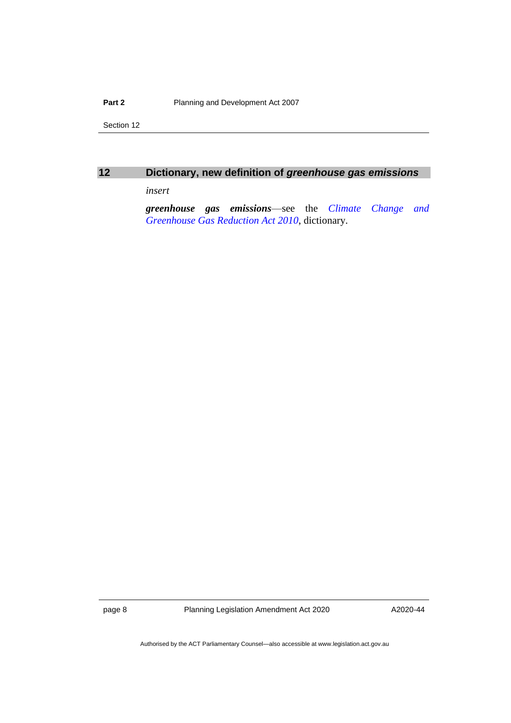#### **Part 2** Planning and Development Act 2007

Section 12

<span id="page-9-0"></span>

| ٠ |
|---|
|   |
|   |

### **12 Dictionary, new definition of** *greenhouse gas emissions*

*insert*

*greenhouse gas emissions*—see the *[Climate Change and](http://www.legislation.act.gov.au/a/2010-41)  [Greenhouse Gas Reduction Act 2010](http://www.legislation.act.gov.au/a/2010-41)*, dictionary.

page 8 Planning Legislation Amendment Act 2020

A2020-44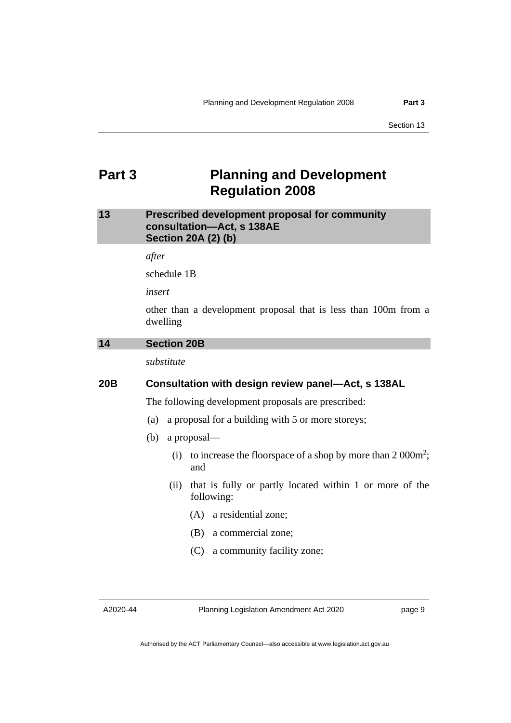## <span id="page-10-0"></span>**Part 3 Planning and Development Regulation 2008**

#### <span id="page-10-1"></span>**13 Prescribed development proposal for community consultation—Act, s 138AE Section 20A (2) (b)**

*after*

schedule 1B

*insert*

other than a development proposal that is less than 100m from a dwelling

#### <span id="page-10-2"></span>**14 Section 20B**

*substitute*

#### **20B Consultation with design review panel—Act, s 138AL**

The following development proposals are prescribed:

- (a) a proposal for a building with 5 or more storeys;
- (b) a proposal—
	- (i) to increase the floorspace of a shop by more than  $2000m^2$ ; and
	- (ii) that is fully or partly located within 1 or more of the following:
		- (A) a residential zone;
		- (B) a commercial zone;
		- (C) a community facility zone;

A2020-44

Planning Legislation Amendment Act 2020

page 9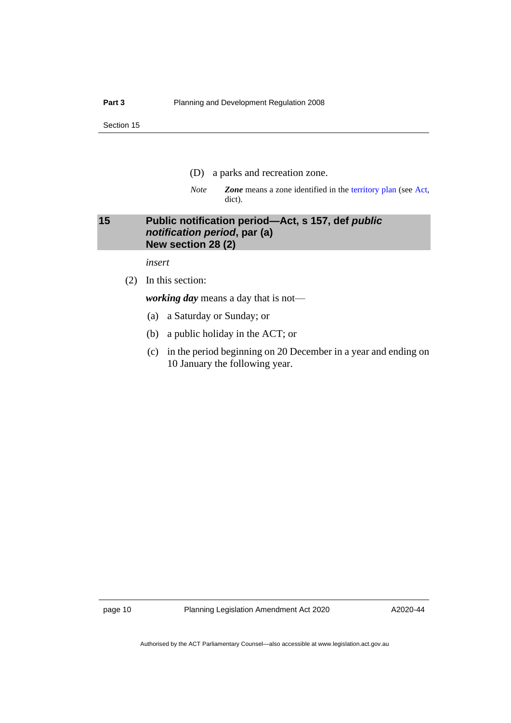- (D) a parks and recreation zone.
- *Note Zone* means a zone identified in the [territory plan](http://www.legislation.act.gov.au/ni/2008-27/) (see [Act,](https://www.legislation.act.gov.au/a/2007-24/) dict).

#### <span id="page-11-0"></span>**15 Public notification period—Act, s 157, def** *public notification period***, par (a) New section 28 (2)**

*insert*

(2) In this section:

*working day* means a day that is not—

- (a) a Saturday or Sunday; or
- (b) a public holiday in the ACT; or
- (c) in the period beginning on 20 December in a year and ending on 10 January the following year.

page 10 Planning Legislation Amendment Act 2020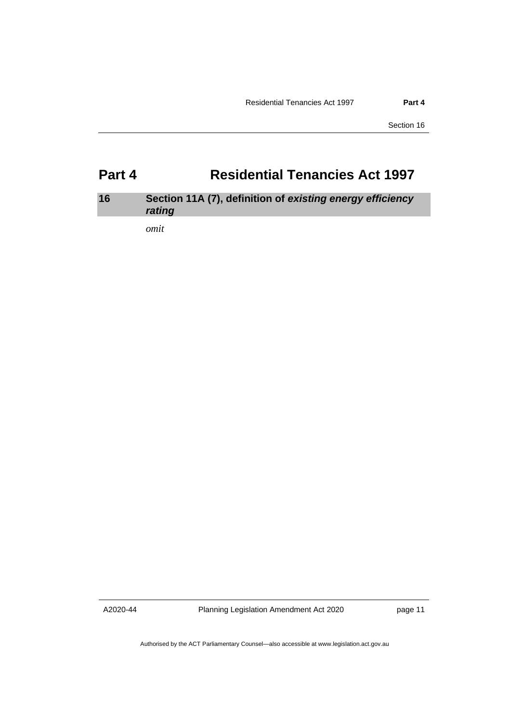## <span id="page-12-0"></span>**Part 4 Residential Tenancies Act 1997**

### <span id="page-12-1"></span>**16 Section 11A (7), definition of** *existing energy efficiency rating*

*omit*

A2020-44

Planning Legislation Amendment Act 2020

page 11